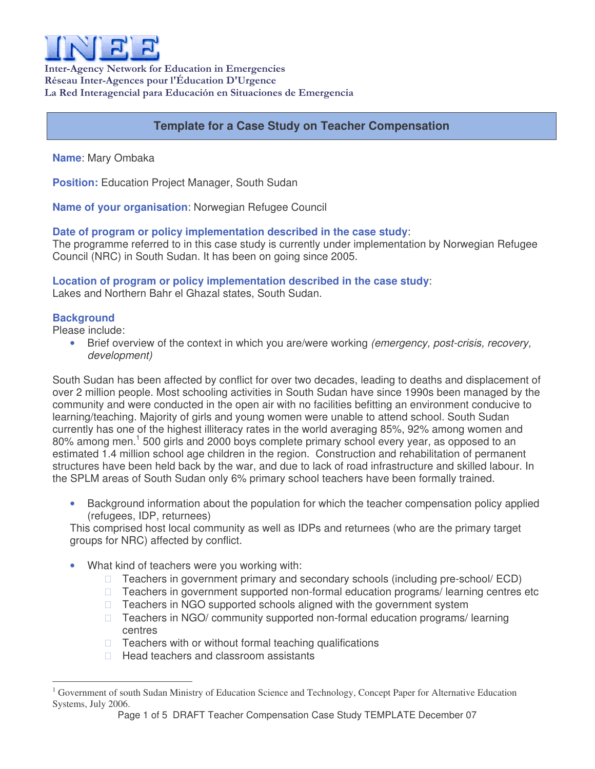

Inter-Agency Network for Education in Emergencies Réseau Inter-Agences pour l'Éducation D'Urgence La Red Interagencial para Educación en Situaciones de Emergencia

# **Template for a Case Study on Teacher Compensation**

**Name**: Mary Ombaka

**Position:** Education Project Manager, South Sudan

**Name of your organisation**: Norwegian Refugee Council

#### **Date of program or policy implementation described in the case study**:

The programme referred to in this case study is currently under implementation by Norwegian Refugee Council (NRC) in South Sudan. It has been on going since 2005.

#### **Location of program or policy implementation described in the case study**:

Lakes and Northern Bahr el Ghazal states, South Sudan.

#### **Background**

Please include:

• Brief overview of the context in which you are/were working *(emergency, post-crisis, recovery, development)*

South Sudan has been affected by conflict for over two decades, leading to deaths and displacement of over 2 million people. Most schooling activities in South Sudan have since 1990s been managed by the community and were conducted in the open air with no facilities befitting an environment conducive to learning/teaching. Majority of girls and young women were unable to attend school. South Sudan currently has one of the highest illiteracy rates in the world averaging 85%, 92% among women and 80% among men.<sup>1</sup> 500 girls and 2000 boys complete primary school every year, as opposed to an estimated 1.4 million school age children in the region. Construction and rehabilitation of permanent structures have been held back by the war, and due to lack of road infrastructure and skilled labour. In the SPLM areas of South Sudan only 6% primary school teachers have been formally trained.

• Background information about the population for which the teacher compensation policy applied (refugees, IDP, returnees)

This comprised host local community as well as IDPs and returnees (who are the primary target groups for NRC) affected by conflict.

What kind of teachers were you working with:

 Teachers in government primary and secondary schools (including pre-school/ ECD) Teachers in government supported non-formal education programs/ learning centres etc Teachers in NGO supported schools aligned with the government system Teachers in NGO/ community supported non-formal education programs/ learning centres

 Teachers with or without formal teaching qualifications Head teachers and classroom assistants

<sup>1</sup> Government of south Sudan Ministry of Education Science and Technology, Concept Paper for Alternative Education Systems, July 2006.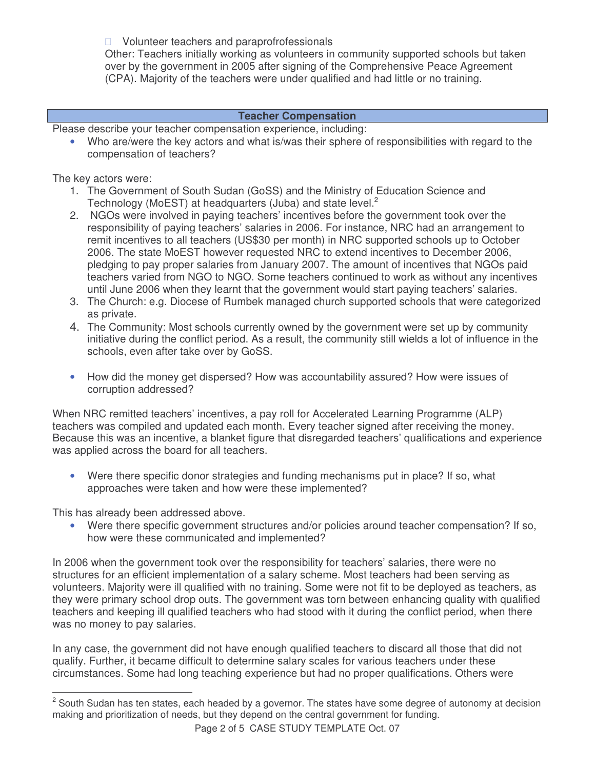Volunteer teachers and paraprofrofessionals Other: Teachers initially working as volunteers in community supported schools but taken over by the government in 2005 after signing of the Comprehensive Peace Agreement (CPA). Majority of the teachers were under qualified and had little or no training.

#### **Teacher Compensation**

Please describe your teacher compensation experience, including:

• Who are/were the key actors and what is/was their sphere of responsibilities with regard to the compensation of teachers?

The key actors were:

- 1. The Government of South Sudan (GoSS) and the Ministry of Education Science and Technology (MoEST) at headquarters (Juba) and state level.<sup>2</sup>
- 2. NGOs were involved in paying teachers' incentives before the government took over the responsibility of paying teachers' salaries in 2006. For instance, NRC had an arrangement to remit incentives to all teachers (US\$30 per month) in NRC supported schools up to October 2006. The state MoEST however requested NRC to extend incentives to December 2006, pledging to pay proper salaries from January 2007. The amount of incentives that NGOs paid teachers varied from NGO to NGO. Some teachers continued to work as without any incentives until June 2006 when they learnt that the government would start paying teachers' salaries.
- 3. The Church: e.g. Diocese of Rumbek managed church supported schools that were categorized as private.
- 4. The Community: Most schools currently owned by the government were set up by community initiative during the conflict period. As a result, the community still wields a lot of influence in the schools, even after take over by GoSS.
- How did the money get dispersed? How was accountability assured? How were issues of corruption addressed?

When NRC remitted teachers' incentives, a pay roll for Accelerated Learning Programme (ALP) teachers was compiled and updated each month. Every teacher signed after receiving the money. Because this was an incentive, a blanket figure that disregarded teachers' qualifications and experience was applied across the board for all teachers.

• Were there specific donor strategies and funding mechanisms put in place? If so, what approaches were taken and how were these implemented?

This has already been addressed above.

• Were there specific government structures and/or policies around teacher compensation? If so, how were these communicated and implemented?

In 2006 when the government took over the responsibility for teachers' salaries, there were no structures for an efficient implementation of a salary scheme. Most teachers had been serving as volunteers. Majority were ill qualified with no training. Some were not fit to be deployed as teachers, as they were primary school drop outs. The government was torn between enhancing quality with qualified teachers and keeping ill qualified teachers who had stood with it during the conflict period, when there was no money to pay salaries.

In any case, the government did not have enough qualified teachers to discard all those that did not qualify. Further, it became difficult to determine salary scales for various teachers under these circumstances. Some had long teaching experience but had no proper qualifications. Others were

<sup>&</sup>lt;sup>2</sup> South Sudan has ten states, each headed by a governor. The states have some degree of autonomy at decision making and prioritization of needs, but they depend on the central government for funding.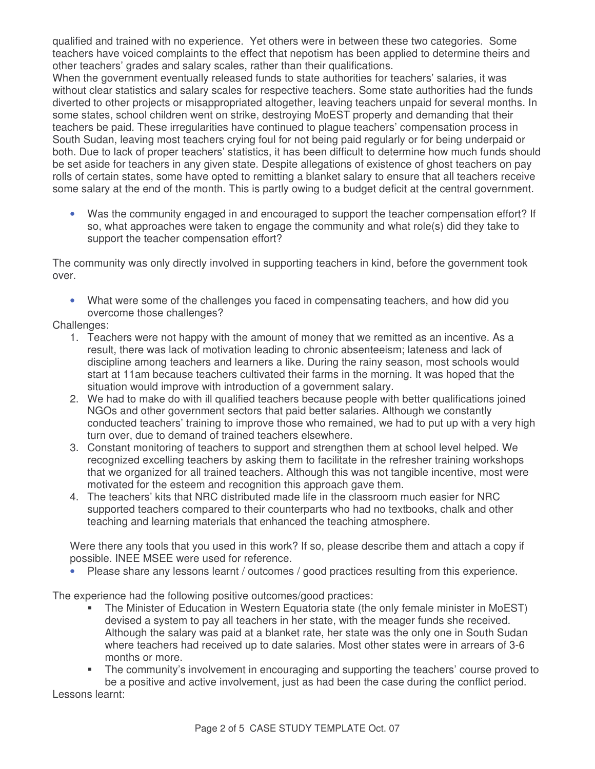qualified and trained with no experience. Yet others were in between these two categories. Some teachers have voiced complaints to the effect that nepotism has been applied to determine theirs and other teachers' grades and salary scales, rather than their qualifications.

When the government eventually released funds to state authorities for teachers' salaries, it was without clear statistics and salary scales for respective teachers. Some state authorities had the funds diverted to other projects or misappropriated altogether, leaving teachers unpaid for several months. In some states, school children went on strike, destroying MoEST property and demanding that their teachers be paid. These irregularities have continued to plague teachers' compensation process in South Sudan, leaving most teachers crying foul for not being paid regularly or for being underpaid or both. Due to lack of proper teachers' statistics, it has been difficult to determine how much funds should be set aside for teachers in any given state. Despite allegations of existence of ghost teachers on pay rolls of certain states, some have opted to remitting a blanket salary to ensure that all teachers receive some salary at the end of the month. This is partly owing to a budget deficit at the central government.

• Was the community engaged in and encouraged to support the teacher compensation effort? If so, what approaches were taken to engage the community and what role(s) did they take to support the teacher compensation effort?

The community was only directly involved in supporting teachers in kind, before the government took over.

• What were some of the challenges you faced in compensating teachers, and how did you overcome those challenges?

Challenges:

- 1. Teachers were not happy with the amount of money that we remitted as an incentive. As a result, there was lack of motivation leading to chronic absenteeism; lateness and lack of discipline among teachers and learners a like. During the rainy season, most schools would start at 11am because teachers cultivated their farms in the morning. It was hoped that the situation would improve with introduction of a government salary.
- 2. We had to make do with ill qualified teachers because people with better qualifications joined NGOs and other government sectors that paid better salaries. Although we constantly conducted teachers' training to improve those who remained, we had to put up with a very high turn over, due to demand of trained teachers elsewhere.
- 3. Constant monitoring of teachers to support and strengthen them at school level helped. We recognized excelling teachers by asking them to facilitate in the refresher training workshops that we organized for all trained teachers. Although this was not tangible incentive, most were motivated for the esteem and recognition this approach gave them.
- 4. The teachers' kits that NRC distributed made life in the classroom much easier for NRC supported teachers compared to their counterparts who had no textbooks, chalk and other teaching and learning materials that enhanced the teaching atmosphere.

Were there any tools that you used in this work? If so, please describe them and attach a copy if possible. INEE MSEE were used for reference.

Please share any lessons learnt / outcomes / good practices resulting from this experience.

The experience had the following positive outcomes/good practices:

- The Minister of Education in Western Equatoria state (the only female minister in MoEST) devised a system to pay all teachers in her state, with the meager funds she received. Although the salary was paid at a blanket rate, her state was the only one in South Sudan where teachers had received up to date salaries. Most other states were in arrears of 3-6 months or more.
- The community's involvement in encouraging and supporting the teachers' course proved to be a positive and active involvement, just as had been the case during the conflict period.

Lessons learnt: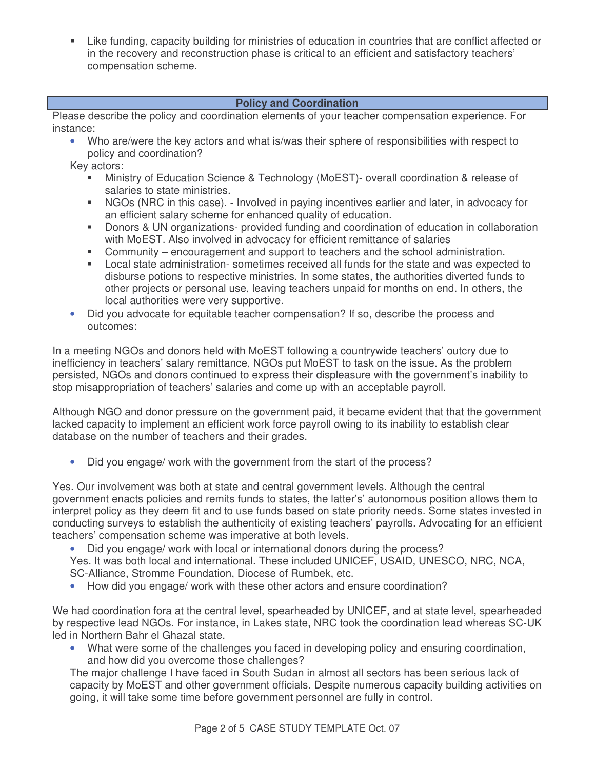Like funding, capacity building for ministries of education in countries that are conflict affected or in the recovery and reconstruction phase is critical to an efficient and satisfactory teachers' compensation scheme.

### **Policy and Coordination**

Please describe the policy and coordination elements of your teacher compensation experience. For instance:

• Who are/were the key actors and what is/was their sphere of responsibilities with respect to policy and coordination?

Key actors:

- Ministry of Education Science & Technology (MoEST)- overall coordination & release of salaries to state ministries.
- NGOs (NRC in this case). Involved in paying incentives earlier and later, in advocacy for an efficient salary scheme for enhanced quality of education.
- Donors & UN organizations- provided funding and coordination of education in collaboration with MoEST. Also involved in advocacy for efficient remittance of salaries
- Community encouragement and support to teachers and the school administration.
- Local state administration- sometimes received all funds for the state and was expected to disburse potions to respective ministries. In some states, the authorities diverted funds to other projects or personal use, leaving teachers unpaid for months on end. In others, the local authorities were very supportive.
- Did you advocate for equitable teacher compensation? If so, describe the process and outcomes:

In a meeting NGOs and donors held with MoEST following a countrywide teachers' outcry due to inefficiency in teachers' salary remittance, NGOs put MoEST to task on the issue. As the problem persisted, NGOs and donors continued to express their displeasure with the government's inability to stop misappropriation of teachers' salaries and come up with an acceptable payroll.

Although NGO and donor pressure on the government paid, it became evident that that the government lacked capacity to implement an efficient work force payroll owing to its inability to establish clear database on the number of teachers and their grades.

• Did you engage/ work with the government from the start of the process?

Yes. Our involvement was both at state and central government levels. Although the central government enacts policies and remits funds to states, the latter's' autonomous position allows them to interpret policy as they deem fit and to use funds based on state priority needs. Some states invested in conducting surveys to establish the authenticity of existing teachers' payrolls. Advocating for an efficient teachers' compensation scheme was imperative at both levels.

• Did you engage/ work with local or international donors during the process?

Yes. It was both local and international. These included UNICEF, USAID, UNESCO, NRC, NCA,

SC-Alliance, Stromme Foundation, Diocese of Rumbek, etc.

• How did you engage/ work with these other actors and ensure coordination?

We had coordination fora at the central level, spearheaded by UNICEF, and at state level, spearheaded by respective lead NGOs. For instance, in Lakes state, NRC took the coordination lead whereas SC-UK led in Northern Bahr el Ghazal state.

• What were some of the challenges you faced in developing policy and ensuring coordination, and how did you overcome those challenges?

The major challenge I have faced in South Sudan in almost all sectors has been serious lack of capacity by MoEST and other government officials. Despite numerous capacity building activities on going, it will take some time before government personnel are fully in control.